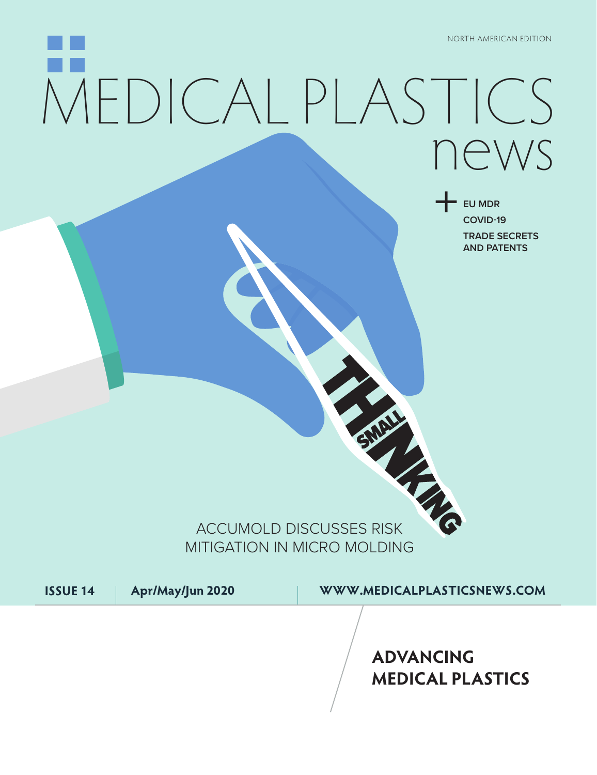# MEDICAL [PLASTICS](https://www.medicalplasticsnews.com/) news

+ **EU MDR COVID-19 TRADE SECRETS AND PATENTS**

## ACCUMOLD DISCUSSES RISK MITIGATION IN MICRO MOLDING

**ISSUE 14 Apr/May/Jun 2020 WWW.MEDICALPLASTICSNEWS.COM**

**ADVANCING MEDICAL PLASTICS**